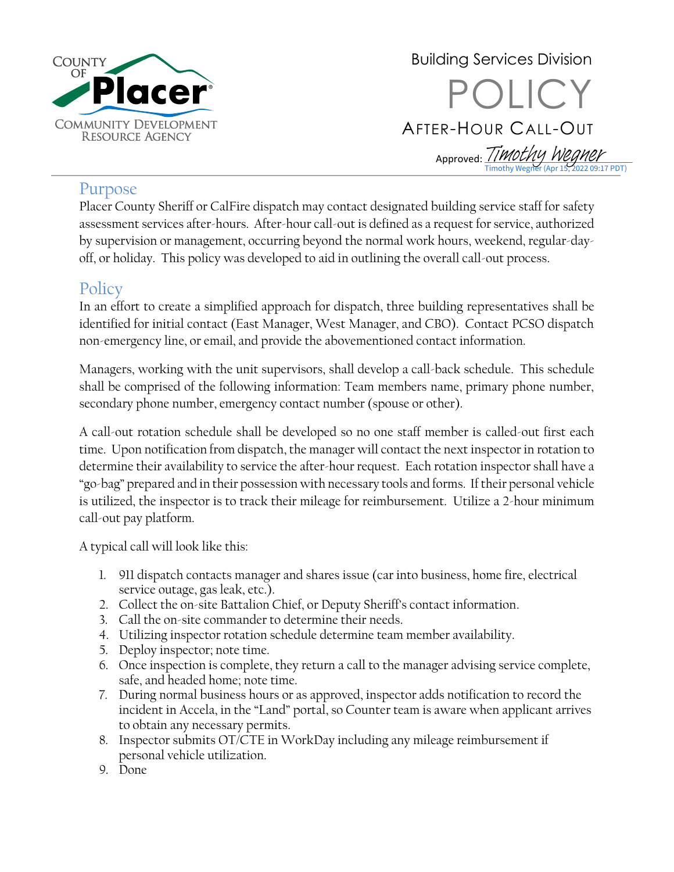

Building Services Division POLICY AFTER-HOUR CALL-OUT  $\overline{\phantom{0}}$ Approved: *[Timothy Wegner](https://na4.documents.adobe.com/verifier?tx=CBJCHBCAABAAryLdOXMapvocAt0lF82T-ql8mN6wMhHS)* 122 09:17 PDT)

## Purpose

Placer County Sheriff or CalFire dispatch may contact designated building service staff for safety assessment services after-hours. After-hour call-out is defined as a request for service, authorized by supervision or management, occurring beyond the normal work hours, weekend, regular-dayoff, or holiday. This policy was developed to aid in outlining the overall call-out process.

## **Policy**

In an effort to create a simplified approach for dispatch, three building representatives shall be identified for initial contact (East Manager, West Manager, and CBO). Contact PCSO dispatch non-emergency line, or email, and provide the abovementioned contact information.

Managers, working with the unit supervisors, shall develop a call-back schedule. This schedule shall be comprised of the following information: Team members name, primary phone number, secondary phone number, emergency contact number (spouse or other).

A call-out rotation schedule shall be developed so no one staff member is called-out first each time. Upon notification from dispatch, the manager will contact the next inspector in rotation to determine their availability to service the after-hour request. Each rotation inspector shall have a "go-bag" prepared and in their possession with necessary tools and forms. If their personal vehicle is utilized, the inspector is to track their mileage for reimbursement. Utilize a 2-hour minimum call-out pay platform.

A typical call will look like this:

- 1. 911 dispatch contacts manager and shares issue (car into business, home fire, electrical service outage, gas leak, etc.).
- 2. Collect the on-site Battalion Chief, or Deputy Sheriff's contact information.
- 3. Call the on-site commander to determine their needs.
- 4. Utilizing inspector rotation schedule determine team member availability.
- 5. Deploy inspector; note time.
- 6. Once inspection is complete, they return a call to the manager advising service complete, safe, and headed home; note time.
- 7. During normal business hours or as approved, inspector adds notification to record the incident in Accela, in the "Land" portal, so Counter team is aware when applicant arrives to obtain any necessary permits.
- 8. Inspector submits OT/CTE in WorkDay including any mileage reimbursement if personal vehicle utilization.
- 9. Done